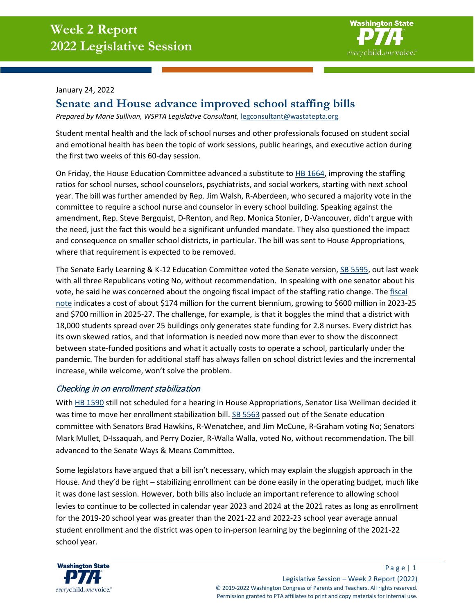

#### January 24, 2022

# **Senate and House advance improved school staffing bills**

*Prepared by Marie Sullivan, WSPTA Legislative Consultant,* [legconsultant@wastatepta.org](mailto:legconsultant@wastatepta.org)

Student mental health and the lack of school nurses and other professionals focused on student social and emotional health has been the topic of work sessions, public hearings, and executive action during the first two weeks of this 60-day session.

On Friday, the House Education Committee advanced a substitute t[o HB 1664,](https://app.leg.wa.gov/billsummary?BillNumber=1664&Initiative=false&Year=2021) improving the staffing ratios for school nurses, school counselors, psychiatrists, and social workers, starting with next school year. The bill was further amended by Rep. Jim Walsh, R-Aberdeen, who secured a majority vote in the committee to require a school nurse and counselor in every school building. Speaking against the amendment, Rep. Steve Bergquist, D-Renton, and Rep. Monica Stonier, D-Vancouver, didn't argue with the need, just the fact this would be a significant unfunded mandate. They also questioned the impact and consequence on smaller school districts, in particular. The bill was sent to House Appropriations, where that requirement is expected to be removed.

The Senate Early Learning & K-12 Education Committee voted the Senate version, [SB 5595,](https://app.leg.wa.gov/billsummary?BillNumber=5595&Initiative=false&Year=2021) out last week with all three Republicans voting No, without recommendation. In speaking with one senator about his vote, he said he was concerned about the ongoing fiscal impact of the staffing ratio change. The [fiscal](https://fnspublic.ofm.wa.gov/FNSPublicSearch/GetPDF?packageID=63743)  [note](https://fnspublic.ofm.wa.gov/FNSPublicSearch/GetPDF?packageID=63743) indicates a cost of about \$174 million for the current biennium, growing to \$600 million in 2023-25 and \$700 million in 2025-27. The challenge, for example, is that it boggles the mind that a district with 18,000 students spread over 25 buildings only generates state funding for 2.8 nurses. Every district has its own skewed ratios, and that information is needed now more than ever to show the disconnect between state-funded positions and what it actually costs to operate a school, particularly under the pandemic. The burden for additional staff has always fallen on school district levies and the incremental increase, while welcome, won't solve the problem.

### Checking in on enrollment stabilization

With [HB 1590](https://app.leg.wa.gov/billsummary?BillNumber=1590&Chamber=House&Year=2021) still not scheduled for a hearing in House Appropriations, Senator Lisa Wellman decided it was time to move her enrollment stabilization bill. [SB 5563](https://app.leg.wa.gov/billsummary?BillNumber=5563&Initiative=false&Year=2021) passed out of the Senate education committee with Senators Brad Hawkins, R-Wenatchee, and Jim McCune, R-Graham voting No; Senators Mark Mullet, D-Issaquah, and Perry Dozier, R-Walla Walla, voted No, without recommendation. The bill advanced to the Senate Ways & Means Committee.

Some legislators have argued that a bill isn't necessary, which may explain the sluggish approach in the House. And they'd be right – stabilizing enrollment can be done easily in the operating budget, much like it was done last session. However, both bills also include an important reference to allowing school levies to continue to be collected in calendar year 2023 and 2024 at the 2021 rates as long as enrollment for the 2019-20 school year was greater than the 2021-22 and 2022-23 school year average annual student enrollment and the district was open to in-person learning by the beginning of the 2021-22 school year.

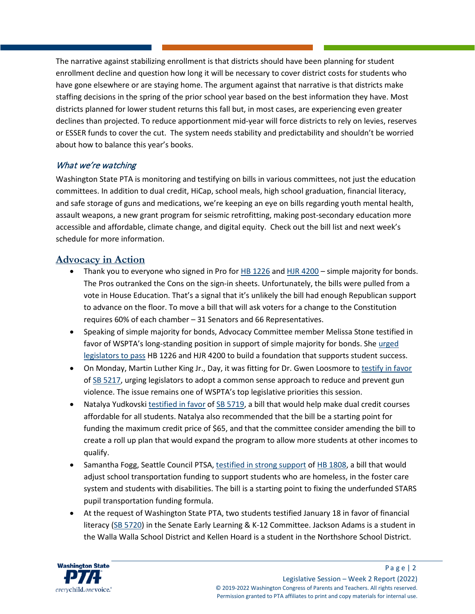The narrative against stabilizing enrollment is that districts should have been planning for student enrollment decline and question how long it will be necessary to cover district costs for students who have gone elsewhere or are staying home. The argument against that narrative is that districts make staffing decisions in the spring of the prior school year based on the best information they have. Most districts planned for lower student returns this fall but, in most cases, are experiencing even greater declines than projected. To reduce apportionment mid-year will force districts to rely on levies, reserves or ESSER funds to cover the cut. The system needs stability and predictability and shouldn't be worried about how to balance this year's books.

# What we're watching

Washington State PTA is monitoring and testifying on bills in various committees, not just the education committees. In addition to dual credit, HiCap, school meals, high school graduation, financial literacy, and safe storage of guns and medications, we're keeping an eye on bills regarding youth mental health, assault weapons, a new grant program for seismic retrofitting, making post-secondary education more accessible and affordable, climate change, and digital equity. Check out the bill list and next week's schedule for more information.

# **Advocacy in Action**

- Thank you to everyone who signed in Pro fo[r HB 1226](https://app.leg.wa.gov/billsummary?BillNumber=1226&Initiative=false&Year=2021) and [HJR 4200](https://app.leg.wa.gov/billsummary?BillNumber=4200&Initiative=false&Year=2021) simple majority for bonds. The Pros outranked the Cons on the sign-in sheets. Unfortunately, the bills were pulled from a vote in House Education. That's a signal that it's unlikely the bill had enough Republican support to advance on the floor. To move a bill that will ask voters for a change to the Constitution requires 60% of each chamber – 31 Senators and 66 Representatives.
- Speaking of simple majority for bonds, Advocacy Committee member Melissa Stone testified in favor of WSPTA's long-standing position in support of simple majority for bonds. She [urged](https://www.tvw.org/watch/?clientID=9375922947&eventID=2022011354&startStreamAt=3520&stopStreamAt=3604)  [legislators to pass](https://www.tvw.org/watch/?clientID=9375922947&eventID=2022011354&startStreamAt=3520&stopStreamAt=3604) HB 1226 and HJR 4200 to build a foundation that supports student success.
- On Monday, Martin Luther King Jr., Day, it was fitting for Dr. Gwen Loosmore to [testify in favor](https://www.tvw.org/watch/?clientID=9375922947&eventID=2022011282&startStreamAt=6119&stopStreamAt=6216) o[f SB 5217,](https://app.leg.wa.gov/billsummary?BillNumber=5217&Initiative=false&Year=2021) urging legislators to adopt a common sense approach to reduce and prevent gun violence. The issue remains one of WSPTA's top legislative priorities this session.
- Natalya Yudkovsk[i testified in favor](https://www.tvw.org/watch/?clientID=9375922947&eventID=2022011285&startStreamAt=2534&stopStreamAt=2665) of [SB 5719,](https://app.leg.wa.gov/billsummary?BillNumber=5719&Initiative=false&Year=2021) a bill that would help make dual credit courses affordable for all students. Natalya also recommended that the bill be a starting point for funding the maximum credit price of \$65, and that the committee consider amending the bill to create a roll up plan that would expand the program to allow more students at other incomes to qualify.
- Samantha Fogg, Seattle Council PTSA[, testified in strong support](https://www.tvw.org/watch/?clientID=9375922947&eventID=2022011331&startStreamAt=4453&stopStreamAt=4532) of [HB 1808,](https://app.leg.wa.gov/billsummary?BillNumber=1808&Initiative=false&Year=2021) a bill that would adjust school transportation funding to support students who are homeless, in the foster care system and students with disabilities. The bill is a starting point to fixing the underfunded STARS pupil transportation funding formula.
- At the request of Washington State PTA, two students testified January 18 in favor of financial literacy [\(SB 5720\)](https://app.leg.wa.gov/billsummary?BillNumber=5720&Initiative=false&Year=2021) in the Senate Early Learning & K-12 Committee. Jackson Adams is a student in the Walla Walla School District and Kellen Hoard is a student in the Northshore School District.

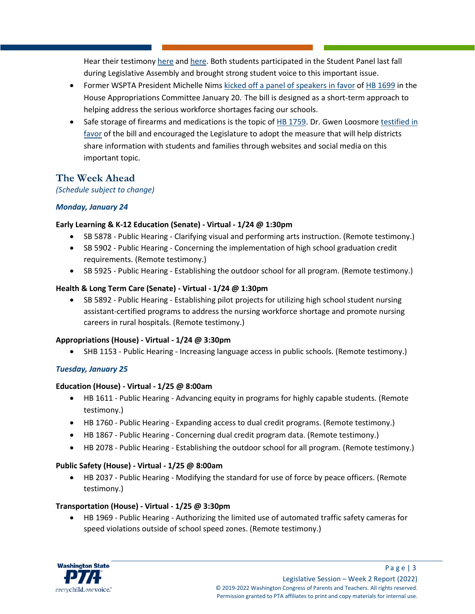Hear their testimony [here](https://www.tvw.org/watch/?clientID=9375922947&eventID=2022011286&startStreamAt=1079&stopStreamAt=1210) an[d here.](https://www.tvw.org/watch/?clientID=9375922947&eventID=2022011286&startStreamAt=854&stopStreamAt=950) Both students participated in the Student Panel last fall during Legislative Assembly and brought strong student voice to this important issue.

- Former WSPTA President Michelle Nims [kicked off a panel of speakers in favor](https://tvw.org/video/house-appropriations-committee-2022011333/?eventID=2022011333&startStreamAt=1247&stopStreamAt=1346) of [HB 1699](https://app.leg.wa.gov/billsummary?BillNumber=1699&Initiative=false&Year=2021) in the House Appropriations Committee January 20. The bill is designed as a short-term approach to helping address the serious workforce shortages facing our schools.
- Safe storage of firearms and medications is the topic of [HB 1759.](https://app.leg.wa.gov/billsummary?BillNumber=1759&Initiative=false&Year=2021) Dr. Gwen Loosmore testified in [favor](https://www.tvw.org/watch/?clientID=9375922947&eventID=2022011355&startStreamAt=1489&stopStreamAt=1590) of the bill and encouraged the Legislature to adopt the measure that will help districts share information with students and families through websites and social media on this important topic.

# **The Week Ahead**

*(Schedule subject to change)*

## *Monday, January 24*

### **Early Learning & K-12 Education (Senate) - Virtual - 1/24 @ 1:30pm**

- SB 5878 Public Hearing Clarifying visual and performing arts instruction. (Remote testimony.)
- SB 5902 Public Hearing Concerning the implementation of high school graduation credit requirements. (Remote testimony.)
- SB 5925 Public Hearing Establishing the outdoor school for all program. (Remote testimony.)

### **Health & Long Term Care (Senate) - Virtual - 1/24 @ 1:30pm**

• SB 5892 - Public Hearing - Establishing pilot projects for utilizing high school student nursing assistant-certified programs to address the nursing workforce shortage and promote nursing careers in rural hospitals. (Remote testimony.)

## **Appropriations (House) - Virtual - 1/24 @ 3:30pm**

• SHB 1153 - Public Hearing - Increasing language access in public schools. (Remote testimony.)

## *Tuesday, January 25*

### **Education (House) - Virtual - 1/25 @ 8:00am**

- HB 1611 Public Hearing Advancing equity in programs for highly capable students. (Remote testimony.)
- HB 1760 Public Hearing Expanding access to dual credit programs. (Remote testimony.)
- HB 1867 Public Hearing Concerning dual credit program data. (Remote testimony.)
- HB 2078 Public Hearing Establishing the outdoor school for all program. (Remote testimony.)

## **Public Safety (House) - Virtual - 1/25 @ 8:00am**

• HB 2037 - Public Hearing - Modifying the standard for use of force by peace officers. (Remote testimony.)

## **Transportation (House) - Virtual - 1/25 @ 3:30pm**

• HB 1969 - Public Hearing - Authorizing the limited use of automated traffic safety cameras for speed violations outside of school speed zones. (Remote testimony.)